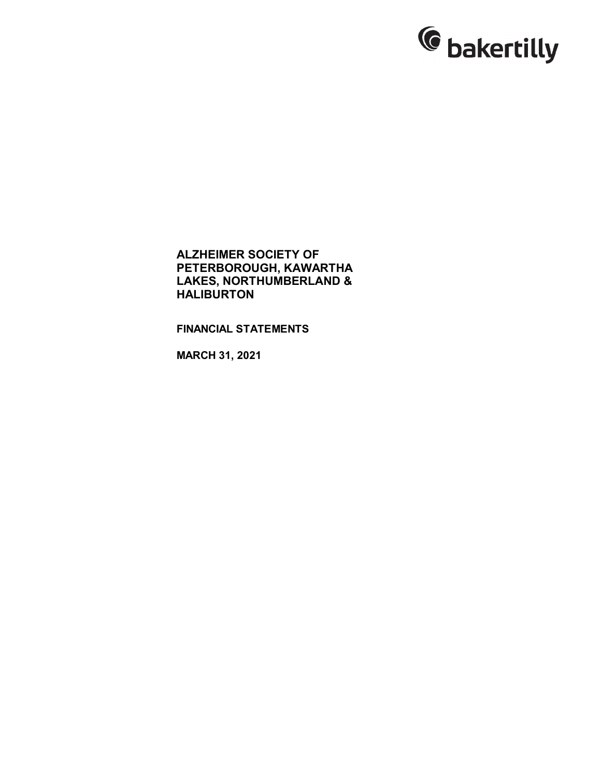

**FINANCIAL STATEMENTS**

**MARCH 31, 2021**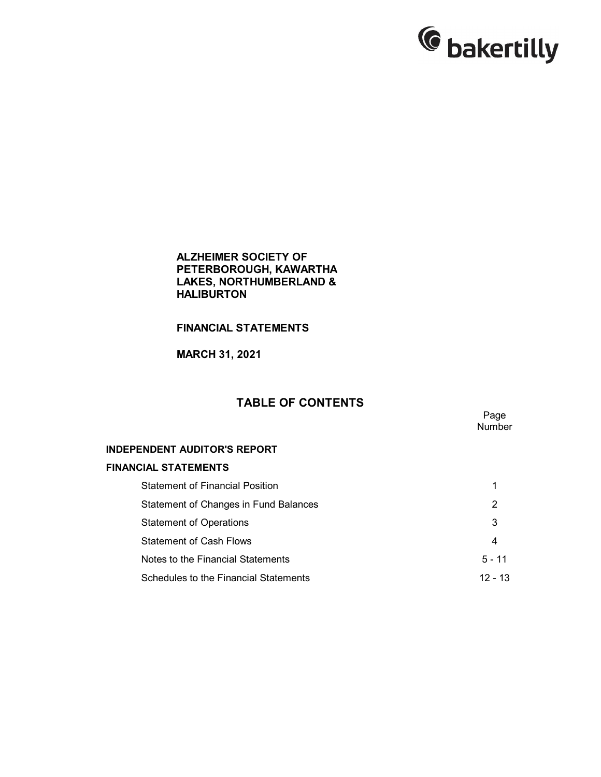

### **FINANCIAL STATEMENTS**

**MARCH 31, 2021**

## **TABLE OF CONTENTS**

Page Number

### **INDEPENDENT AUDITOR'S REPORT**

#### **FINANCIAL STATEMENTS**

| <b>Statement of Financial Position</b> |          |
|----------------------------------------|----------|
| Statement of Changes in Fund Balances  | 2        |
| <b>Statement of Operations</b>         | 3        |
| <b>Statement of Cash Flows</b>         | 4        |
| Notes to the Financial Statements      | $5 - 11$ |
| Schedules to the Financial Statements  | 12 - 13  |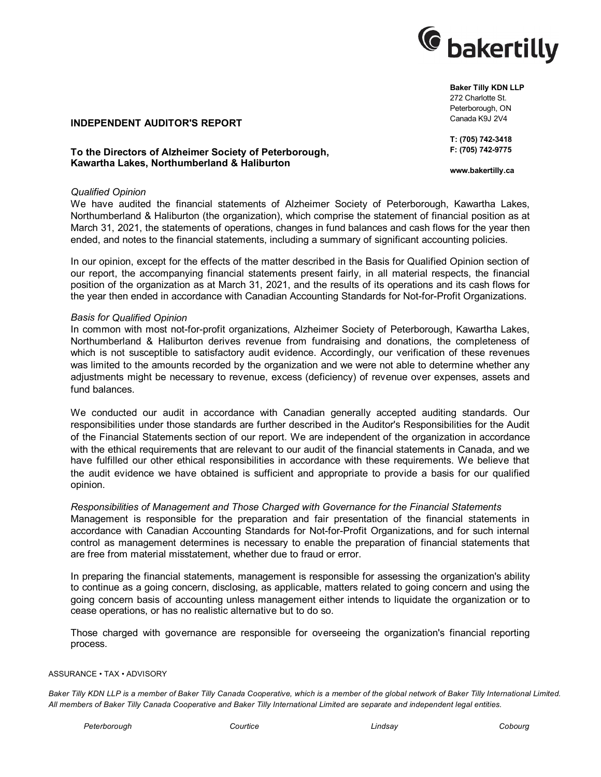

**Baker Tilly KDN LLP** 272 Charlotte St. Peterborough, ON Canada K9J 2V4

**T: (705) 742-3418 F: (705) 742-9775**

**www.bakertilly.ca**

#### **INDEPENDENT AUDITOR'S REPORT**

**To the Directors of Alzheimer Society of Peterborough, Kawartha Lakes, Northumberland & Haliburton**

#### *Qualified Opinion*

We have audited the financial statements of Alzheimer Society of Peterborough, Kawartha Lakes, Northumberland & Haliburton (the organization), which comprise the statement of financial position as at March 31, 2021, the statements of operations, changes in fund balances and cash flows for the year then ended, and notes to the financial statements, including a summary of significant accounting policies.

In our opinion, except for the effects of the matter described in the Basis for Qualified Opinion section of our report, the accompanying financial statements present fairly, in all material respects, the financial position of the organization as at March 31, 2021, and the results of its operations and its cash flows for the year then ended in accordance with Canadian Accounting Standards for Not-for-Profit Organizations.

#### *Basis for Qualified Opinion*

In common with most not-for-profit organizations, Alzheimer Society of Peterborough, Kawartha Lakes, Northumberland & Haliburton derives revenue from fundraising and donations, the completeness of which is not susceptible to satisfactory audit evidence. Accordingly, our verification of these revenues was limited to the amounts recorded by the organization and we were not able to determine whether any adjustments might be necessary to revenue, excess (deficiency) of revenue over expenses, assets and fund balances.

We conducted our audit in accordance with Canadian generally accepted auditing standards. Our responsibilities under those standards are further described in the Auditor's Responsibilities for the Audit of the Financial Statements section of our report. We are independent of the organization in accordance with the ethical requirements that are relevant to our audit of the financial statements in Canada, and we have fulfilled our other ethical responsibilities in accordance with these requirements. We believe that the audit evidence we have obtained is sufficient and appropriate to provide a basis for our qualified opinion.

#### *Responsibilities of Management and Those Charged with Governance for the Financial Statements*

Management is responsible for the preparation and fair presentation of the financial statements in accordance with Canadian Accounting Standards for Not-for-Profit Organizations, and for such internal control as management determines is necessary to enable the preparation of financial statements that are free from material misstatement, whether due to fraud or error.

In preparing the financial statements, management is responsible for assessing the organization's ability to continue as a going concern, disclosing, as applicable, matters related to going concern and using the going concern basis of accounting unless management either intends to liquidate the organization or to cease operations, or has no realistic alternative but to do so.

Those charged with governance are responsible for overseeing the organization's financial reporting process.

#### ASSURANCE • TAX • ADVISORY

*Baker Tilly KDN LLP is a member of Baker Tilly Canada Cooperative, which is a member of the global network of Baker Tilly International Limited. All members of Baker Tilly Canada Cooperative and Baker Tilly International Limited are separate and independent legal entities.*

*Peterborough Courtice Lindsay Cobourg*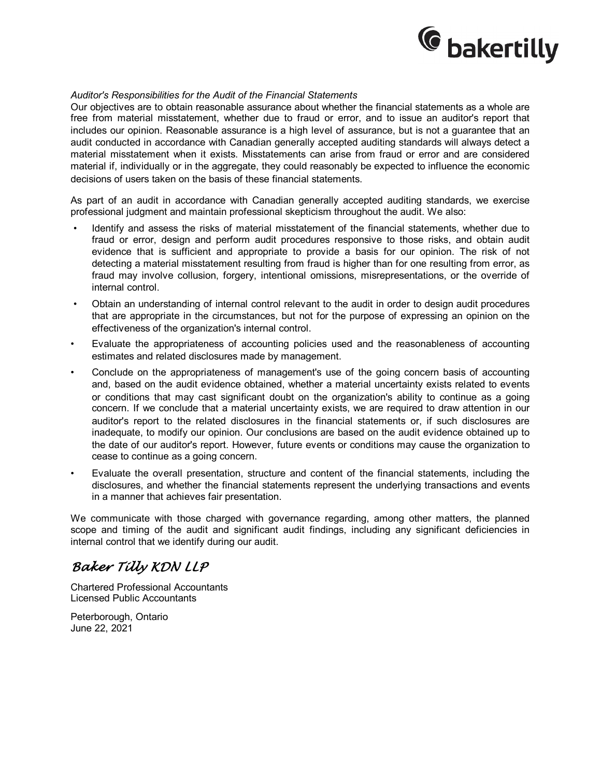

#### *Auditor's Responsibilities for the Audit of the Financial Statements*

Our objectives are to obtain reasonable assurance about whether the financial statements as a whole are free from material misstatement, whether due to fraud or error, and to issue an auditor's report that includes our opinion. Reasonable assurance is a high level of assurance, but is not a guarantee that an audit conducted in accordance with Canadian generally accepted auditing standards will always detect a material misstatement when it exists. Misstatements can arise from fraud or error and are considered material if, individually or in the aggregate, they could reasonably be expected to influence the economic decisions of users taken on the basis of these financial statements.

As part of an audit in accordance with Canadian generally accepted auditing standards, we exercise professional judgment and maintain professional skepticism throughout the audit. We also:

- Identify and assess the risks of material misstatement of the financial statements, whether due to fraud or error, design and perform audit procedures responsive to those risks, and obtain audit evidence that is sufficient and appropriate to provide a basis for our opinion. The risk of not detecting a material misstatement resulting from fraud is higher than for one resulting from error, as fraud may involve collusion, forgery, intentional omissions, misrepresentations, or the override of internal control.
- Obtain an understanding of internal control relevant to the audit in order to design audit procedures that are appropriate in the circumstances, but not for the purpose of expressing an opinion on the effectiveness of the organization's internal control.
- Evaluate the appropriateness of accounting policies used and the reasonableness of accounting estimates and related disclosures made by management.
- Conclude on the appropriateness of management's use of the going concern basis of accounting and, based on the audit evidence obtained, whether a material uncertainty exists related to events or conditions that may cast significant doubt on the organization's ability to continue as a going concern. If we conclude that a material uncertainty exists, we are required to draw attention in our auditor's report to the related disclosures in the financial statements or, if such disclosures are inadequate, to modify our opinion. Our conclusions are based on the audit evidence obtained up to the date of our auditor's report. However, future events or conditions may cause the organization to cease to continue as a going concern.
- Evaluate the overall presentation, structure and content of the financial statements, including the disclosures, and whether the financial statements represent the underlying transactions and events in a manner that achieves fair presentation.

We communicate with those charged with governance regarding, among other matters, the planned scope and timing of the audit and significant audit findings, including any significant deficiencies in internal control that we identify during our audit.

# *Baker Tilly KDN LLP*

Chartered Professional Accountants Licensed Public Accountants

Peterborough, Ontario June 22, 2021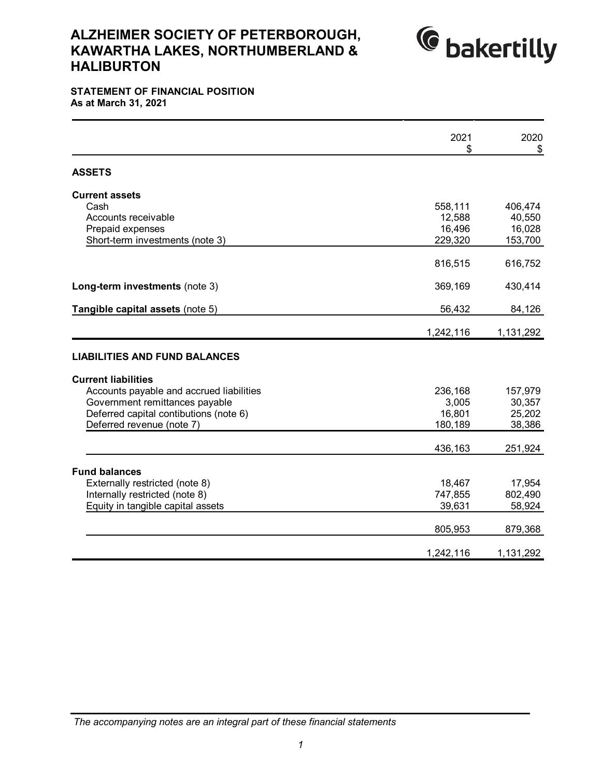

### **STATEMENT OF FINANCIAL POSITION As at March 31, 2021**

|                                          | 2021<br>\$ | 2020<br>\$ |
|------------------------------------------|------------|------------|
| <b>ASSETS</b>                            |            |            |
| <b>Current assets</b>                    |            |            |
| Cash                                     | 558,111    | 406,474    |
| Accounts receivable                      | 12,588     | 40,550     |
| Prepaid expenses                         | 16,496     | 16,028     |
| Short-term investments (note 3)          | 229,320    | 153,700    |
|                                          | 816,515    | 616,752    |
| Long-term investments (note 3)           | 369,169    | 430,414    |
| Tangible capital assets (note 5)         | 56,432     | 84,126     |
|                                          | 1,242,116  | 1,131,292  |
| <b>LIABILITIES AND FUND BALANCES</b>     |            |            |
| <b>Current liabilities</b>               |            |            |
| Accounts payable and accrued liabilities | 236,168    | 157,979    |
| Government remittances payable           | 3,005      | 30,357     |
| Deferred capital contibutions (note 6)   | 16,801     | 25,202     |
| Deferred revenue (note 7)                | 180,189    | 38,386     |
|                                          | 436,163    | 251,924    |
|                                          |            |            |
| <b>Fund balances</b>                     |            |            |
| Externally restricted (note 8)           | 18,467     | 17,954     |
| Internally restricted (note 8)           | 747,855    | 802,490    |
| Equity in tangible capital assets        | 39,631     | 58,924     |
|                                          | 805,953    | 879,368    |
|                                          | 1,242,116  | 1,131,292  |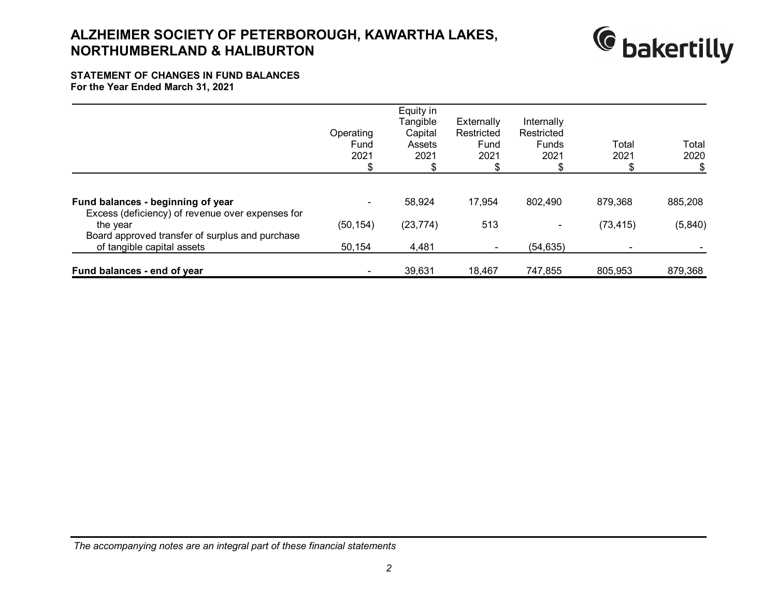

#### **STATEMENT OF CHANGES IN FUND BALANCES For the Year Ended March 31, 2021**

|                                                                                                                 | Operating<br>Fund<br>2021 | Equity in<br>Tangible<br>Capital<br>Assets<br>2021 | Externally<br>Restricted<br>Fund<br>2021 | Internally<br>Restricted<br>Funds<br>2021 | Total<br>2021 | Total<br>2020 |
|-----------------------------------------------------------------------------------------------------------------|---------------------------|----------------------------------------------------|------------------------------------------|-------------------------------------------|---------------|---------------|
| Fund balances - beginning of year                                                                               |                           | 58,924                                             | 17,954                                   | 802,490                                   | 879,368       | 885,208       |
| Excess (deficiency) of revenue over expenses for<br>the year<br>Board approved transfer of surplus and purchase | (50, 154)                 | (23, 774)                                          | 513                                      | $\blacksquare$                            | (73, 415)     | (5,840)       |
| of tangible capital assets                                                                                      | 50,154                    | 4,481                                              |                                          | (54, 635)                                 |               |               |
| Fund balances - end of year                                                                                     |                           | 39,631                                             | 18,467                                   | 747,855                                   | 805,953       | 879,368       |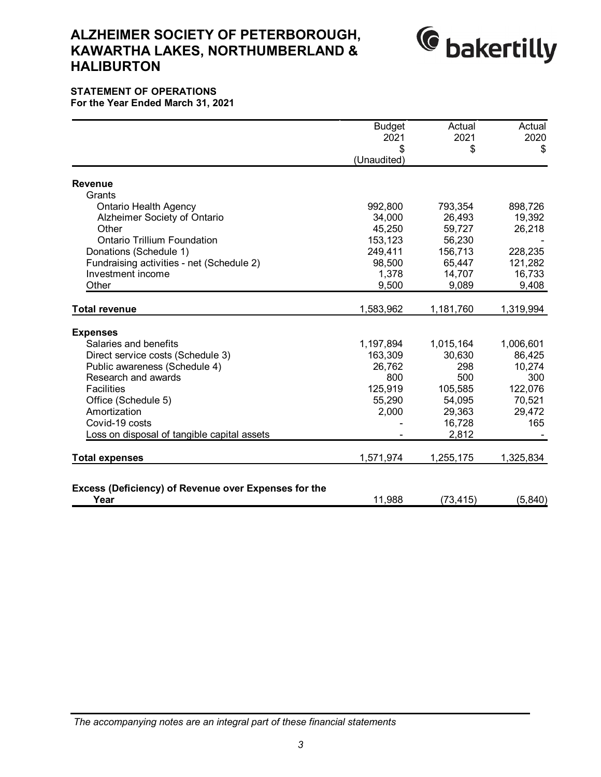

# **STATEMENT OF OPERATIONS**

**For the Year Ended March 31, 2021**

|                                                              | <b>Budget</b> | Actual     | Actual     |
|--------------------------------------------------------------|---------------|------------|------------|
|                                                              | 2021<br>\$    | 2021<br>\$ | 2020<br>\$ |
|                                                              | (Unaudited)   |            |            |
| <b>Revenue</b>                                               |               |            |            |
| Grants                                                       |               |            |            |
| <b>Ontario Health Agency</b>                                 | 992,800       | 793,354    | 898,726    |
| Alzheimer Society of Ontario                                 | 34,000        | 26,493     | 19,392     |
| Other                                                        | 45,250        | 59,727     | 26,218     |
| <b>Ontario Trillium Foundation</b>                           | 153,123       | 56,230     |            |
| Donations (Schedule 1)                                       | 249,411       | 156,713    | 228,235    |
| Fundraising activities - net (Schedule 2)                    | 98,500        | 65,447     | 121,282    |
| Investment income                                            | 1,378         | 14,707     | 16,733     |
| Other                                                        | 9,500         | 9,089      | 9,408      |
|                                                              |               |            |            |
| <b>Total revenue</b>                                         | 1,583,962     | 1,181,760  | 1,319,994  |
| <b>Expenses</b>                                              |               |            |            |
| Salaries and benefits                                        | 1,197,894     | 1,015,164  | 1,006,601  |
| Direct service costs (Schedule 3)                            | 163,309       | 30,630     | 86,425     |
| Public awareness (Schedule 4)                                | 26,762        | 298        | 10,274     |
| Research and awards                                          | 800           | 500        | 300        |
| <b>Facilities</b>                                            | 125,919       | 105,585    | 122,076    |
| Office (Schedule 5)                                          | 55,290        | 54,095     | 70,521     |
| Amortization                                                 | 2,000         | 29,363     | 29,472     |
| Covid-19 costs                                               |               | 16,728     | 165        |
| Loss on disposal of tangible capital assets                  |               | 2,812      |            |
| <b>Total expenses</b>                                        | 1,571,974     | 1,255,175  | 1,325,834  |
|                                                              |               |            |            |
|                                                              |               |            |            |
| Excess (Deficiency) of Revenue over Expenses for the<br>Year | 11,988        | (73, 415)  | (5, 840)   |
|                                                              |               |            |            |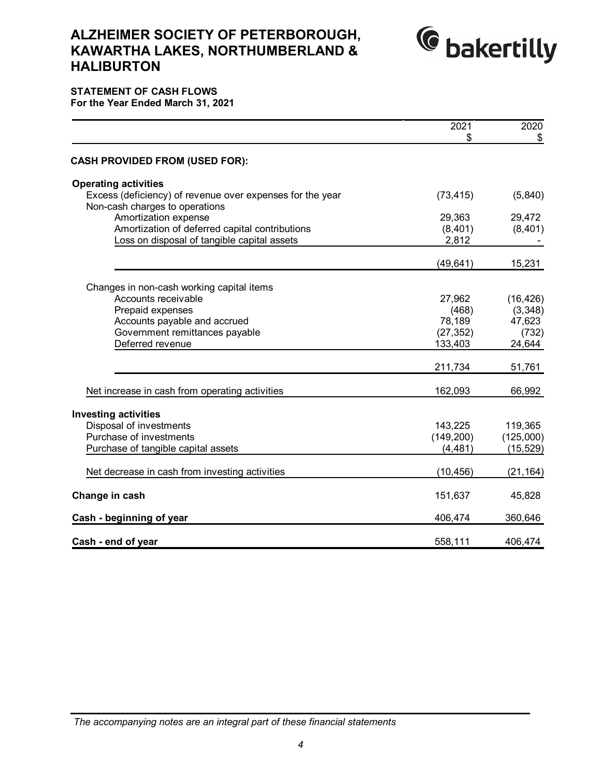

### **STATEMENT OF CASH FLOWS**

**For the Year Ended March 31, 2021**

|                                                                                             | 2021<br>\$ | 2020<br>\$ |
|---------------------------------------------------------------------------------------------|------------|------------|
| <b>CASH PROVIDED FROM (USED FOR):</b>                                                       |            |            |
| <b>Operating activities</b>                                                                 |            |            |
| Excess (deficiency) of revenue over expenses for the year<br>Non-cash charges to operations | (73, 415)  | (5,840)    |
| Amortization expense                                                                        | 29,363     | 29,472     |
| Amortization of deferred capital contributions                                              | (8,401)    | (8,401)    |
| Loss on disposal of tangible capital assets                                                 | 2,812      |            |
|                                                                                             | (49, 641)  | 15,231     |
| Changes in non-cash working capital items                                                   |            |            |
| Accounts receivable                                                                         | 27,962     | (16, 426)  |
| Prepaid expenses                                                                            | (468)      | (3,348)    |
| Accounts payable and accrued                                                                | 78,189     | 47,623     |
| Government remittances payable                                                              | (27, 352)  | (732)      |
| Deferred revenue                                                                            | 133,403    | 24,644     |
|                                                                                             | 211,734    | 51,761     |
| Net increase in cash from operating activities                                              | 162,093    | 66,992     |
| <b>Investing activities</b>                                                                 |            |            |
| Disposal of investments                                                                     | 143,225    | 119,365    |
| Purchase of investments                                                                     | (149, 200) | (125,000)  |
| Purchase of tangible capital assets                                                         | (4, 481)   | (15, 529)  |
| Net decrease in cash from investing activities                                              | (10, 456)  | (21, 164)  |
| Change in cash                                                                              | 151,637    | 45,828     |
| Cash - beginning of year                                                                    | 406,474    | 360,646    |
| Cash - end of year                                                                          | 558,111    | 406,474    |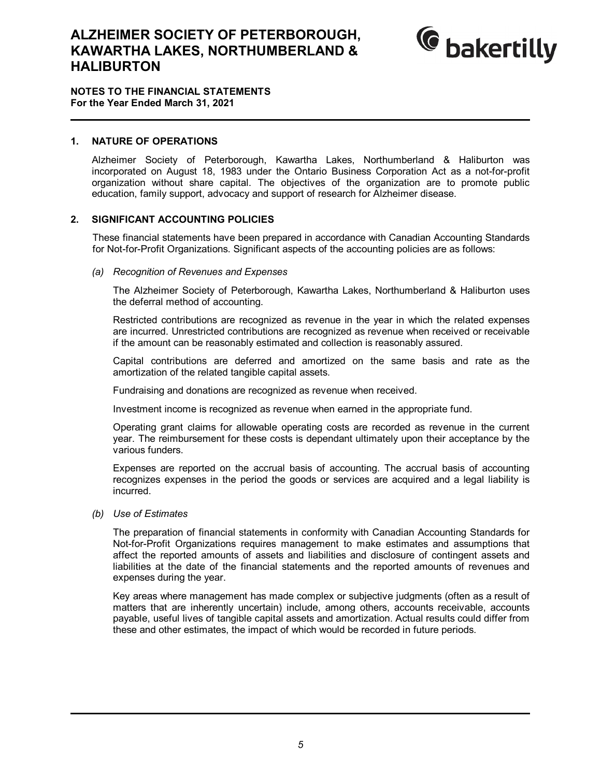

**NOTES TO THE FINANCIAL STATEMENTS For the Year Ended March 31, 2021**

#### **1. NATURE OF OPERATIONS**

Alzheimer Society of Peterborough, Kawartha Lakes, Northumberland & Haliburton was incorporated on August 18, 1983 under the Ontario Business Corporation Act as a not-for-profit organization without share capital. The objectives of the organization are to promote public education, family support, advocacy and support of research for Alzheimer disease.

#### **2. SIGNIFICANT ACCOUNTING POLICIES**

These financial statements have been prepared in accordance with Canadian Accounting Standards for Not-for-Profit Organizations. Significant aspects of the accounting policies are as follows:

#### *(a) Recognition of Revenues and Expenses*

The Alzheimer Society of Peterborough, Kawartha Lakes, Northumberland & Haliburton uses the deferral method of accounting.

Restricted contributions are recognized as revenue in the year in which the related expenses are incurred. Unrestricted contributions are recognized as revenue when received or receivable if the amount can be reasonably estimated and collection is reasonably assured.

Capital contributions are deferred and amortized on the same basis and rate as the amortization of the related tangible capital assets.

Fundraising and donations are recognized as revenue when received.

Investment income is recognized as revenue when earned in the appropriate fund.

Operating grant claims for allowable operating costs are recorded as revenue in the current year. The reimbursement for these costs is dependant ultimately upon their acceptance by the various funders.

Expenses are reported on the accrual basis of accounting. The accrual basis of accounting recognizes expenses in the period the goods or services are acquired and a legal liability is incurred.

*(b) Use of Estimates*

The preparation of financial statements in conformity with Canadian Accounting Standards for Not-for-Profit Organizations requires management to make estimates and assumptions that affect the reported amounts of assets and liabilities and disclosure of contingent assets and liabilities at the date of the financial statements and the reported amounts of revenues and expenses during the year.

Key areas where management has made complex or subjective judgments (often as a result of matters that are inherently uncertain) include, among others, accounts receivable, accounts payable, useful lives of tangible capital assets and amortization. Actual results could differ from these and other estimates, the impact of which would be recorded in future periods.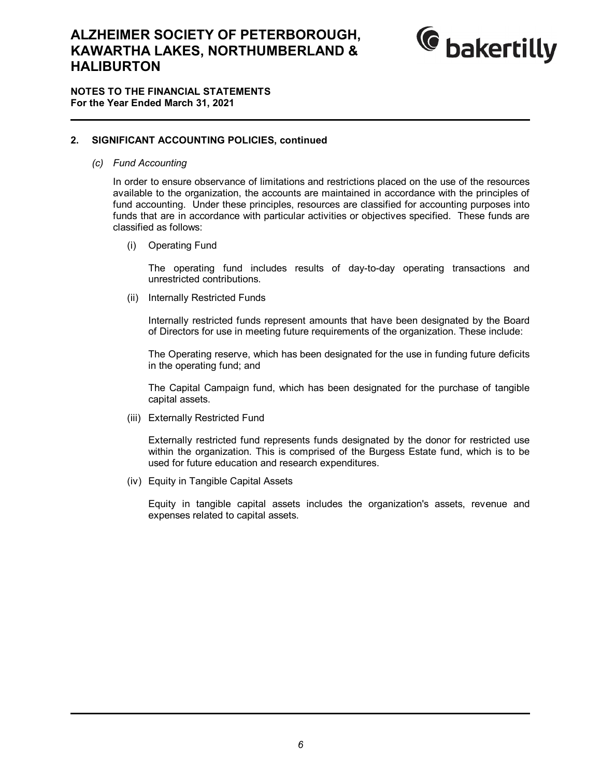

**NOTES TO THE FINANCIAL STATEMENTS For the Year Ended March 31, 2021**

### **2. SIGNIFICANT ACCOUNTING POLICIES, continued**

*(c) Fund Accounting*

In order to ensure observance of limitations and restrictions placed on the use of the resources available to the organization, the accounts are maintained in accordance with the principles of fund accounting. Under these principles, resources are classified for accounting purposes into funds that are in accordance with particular activities or objectives specified. These funds are classified as follows:

(i) Operating Fund

The operating fund includes results of day-to-day operating transactions and unrestricted contributions.

(ii) Internally Restricted Funds

Internally restricted funds represent amounts that have been designated by the Board of Directors for use in meeting future requirements of the organization. These include:

The Operating reserve, which has been designated for the use in funding future deficits in the operating fund; and

The Capital Campaign fund, which has been designated for the purchase of tangible capital assets.

(iii) Externally Restricted Fund

Externally restricted fund represents funds designated by the donor for restricted use within the organization. This is comprised of the Burgess Estate fund, which is to be used for future education and research expenditures.

(iv) Equity in Tangible Capital Assets

Equity in tangible capital assets includes the organization's assets, revenue and expenses related to capital assets.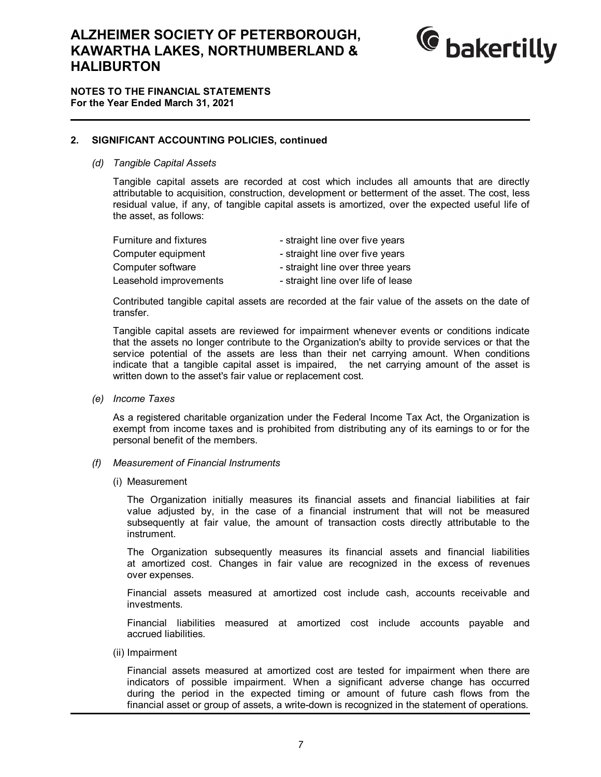

**NOTES TO THE FINANCIAL STATEMENTS For the Year Ended March 31, 2021**

#### **2. SIGNIFICANT ACCOUNTING POLICIES, continued**

*(d) Tangible Capital Assets*

Tangible capital assets are recorded at cost which includes all amounts that are directly attributable to acquisition, construction, development or betterment of the asset. The cost, less residual value, if any, of tangible capital assets is amortized, over the expected useful life of the asset, as follows:

| Furniture and fixtures | - straight line over five years    |
|------------------------|------------------------------------|
| Computer equipment     | - straight line over five years    |
| Computer software      | - straight line over three years   |
| Leasehold improvements | - straight line over life of lease |

Contributed tangible capital assets are recorded at the fair value of the assets on the date of transfer.

Tangible capital assets are reviewed for impairment whenever events or conditions indicate that the assets no longer contribute to the Organization's abilty to provide services or that the service potential of the assets are less than their net carrying amount. When conditions indicate that a tangible capital asset is impaired, the net carrying amount of the asset is written down to the asset's fair value or replacement cost.

*(e) Income Taxes*

As a registered charitable organization under the Federal Income Tax Act, the Organization is exempt from income taxes and is prohibited from distributing any of its earnings to or for the personal benefit of the members.

- *(f) Measurement of Financial Instruments*
	- (i) Measurement

The Organization initially measures its financial assets and financial liabilities at fair value adjusted by, in the case of a financial instrument that will not be measured subsequently at fair value, the amount of transaction costs directly attributable to the instrument.

The Organization subsequently measures its financial assets and financial liabilities at amortized cost. Changes in fair value are recognized in the excess of revenues over expenses.

Financial assets measured at amortized cost include cash, accounts receivable and investments.

Financial liabilities measured at amortized cost include accounts payable and accrued liabilities.

(ii) Impairment

Financial assets measured at amortized cost are tested for impairment when there are indicators of possible impairment. When a significant adverse change has occurred during the period in the expected timing or amount of future cash flows from the financial asset or group of assets, a write-down is recognized in the statement of operations.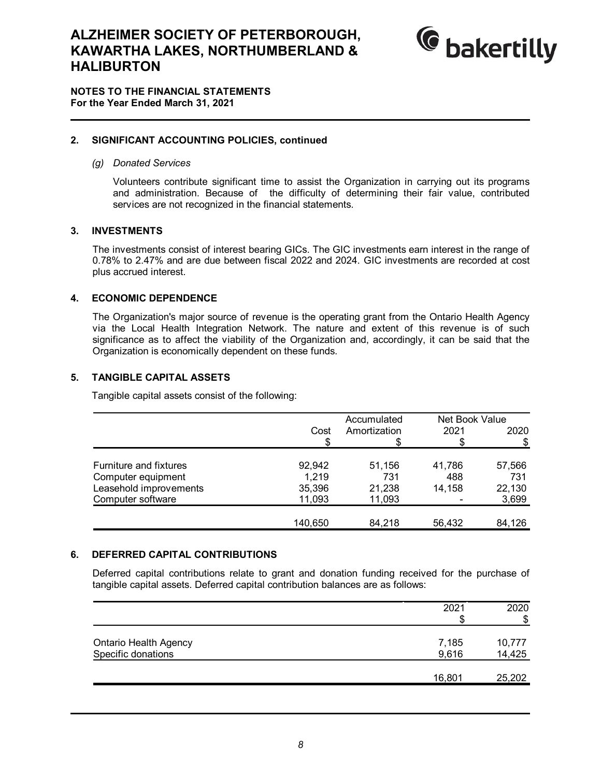

**NOTES TO THE FINANCIAL STATEMENTS For the Year Ended March 31, 2021**

#### **2. SIGNIFICANT ACCOUNTING POLICIES, continued**

#### *(g) Donated Services*

Volunteers contribute significant time to assist the Organization in carrying out its programs and administration. Because of the difficulty of determining their fair value, contributed services are not recognized in the financial statements.

#### **3. INVESTMENTS**

The investments consist of interest bearing GICs. The GIC investments earn interest in the range of 0.78% to 2.47% and are due between fiscal 2022 and 2024. GIC investments are recorded at cost plus accrued interest.

#### **4. ECONOMIC DEPENDENCE**

The Organization's major source of revenue is the operating grant from the Ontario Health Agency via the Local Health Integration Network. The nature and extent of this revenue is of such significance as to affect the viability of the Organization and, accordingly, it can be said that the Organization is economically dependent on these funds.

#### **5. TANGIBLE CAPITAL ASSETS**

Tangible capital assets consist of the following:

|                               |         | Accumulated  | Net Book Value |        |
|-------------------------------|---------|--------------|----------------|--------|
|                               | Cost    | Amortization | 2021           | 2020   |
|                               | \$      |              |                |        |
|                               |         |              |                |        |
| <b>Furniture and fixtures</b> | 92,942  | 51,156       | 41,786         | 57,566 |
| Computer equipment            | 1,219   | 731          | 488            | 731    |
| Leasehold improvements        | 35,396  | 21,238       | 14,158         | 22,130 |
| Computer software             | 11,093  | 11,093       |                | 3,699  |
|                               |         |              |                |        |
|                               | 140,650 | 84,218       | 56,432         | 84,126 |

#### **6. DEFERRED CAPITAL CONTRIBUTIONS**

Deferred capital contributions relate to grant and donation funding received for the purchase of tangible capital assets. Deferred capital contribution balances are as follows:

|                                                    | 2021           | 2020<br>\$       |
|----------------------------------------------------|----------------|------------------|
| <b>Ontario Health Agency</b><br>Specific donations | 7,185<br>9,616 | 10,777<br>14,425 |
|                                                    | 16,801         | 25,202           |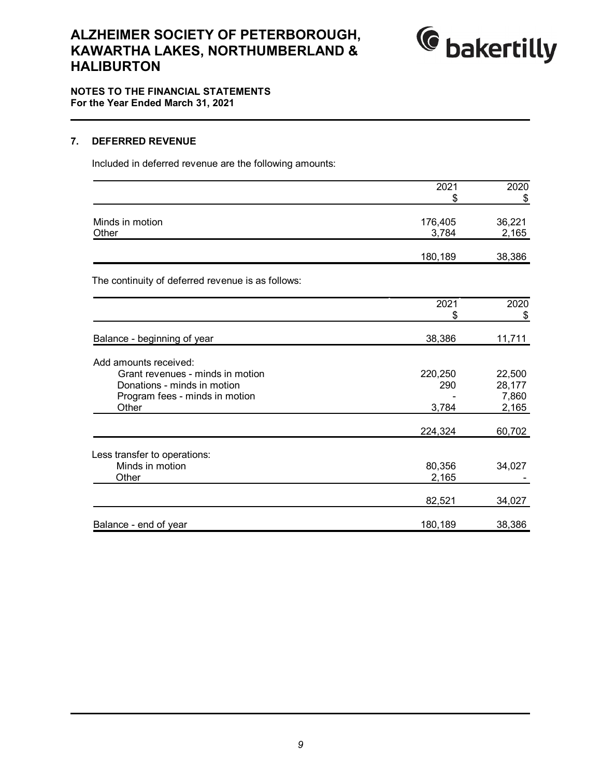

**NOTES TO THE FINANCIAL STATEMENTS For the Year Ended March 31, 2021**

### **7. DEFERRED REVENUE**

Included in deferred revenue are the following amounts:

|                                                   | 2021    | 2020           |
|---------------------------------------------------|---------|----------------|
|                                                   | \$      | \$             |
| Minds in motion                                   | 176,405 | 36,221         |
| Other                                             | 3,784   | 2,165          |
|                                                   | 180,189 | 38,386         |
| The continuity of deferred revenue is as follows: |         |                |
|                                                   | 2021    | 2020           |
|                                                   | \$      | \$             |
| Balance - beginning of year                       | 38,386  | 11,711         |
| Add amounts received:                             |         |                |
| Grant revenues - minds in motion                  | 220,250 | 22,500         |
| Donations - minds in motion                       | 290     | 28,177         |
| Program fees - minds in motion<br>Other           | 3,784   | 7,860<br>2,165 |
|                                                   | 224,324 | 60,702         |
| Less transfer to operations:                      |         |                |
| Minds in motion                                   | 80,356  | 34,027         |
| Other                                             | 2,165   |                |
|                                                   | 82,521  | 34,027         |
| Balance - end of year                             | 180,189 | 38,386         |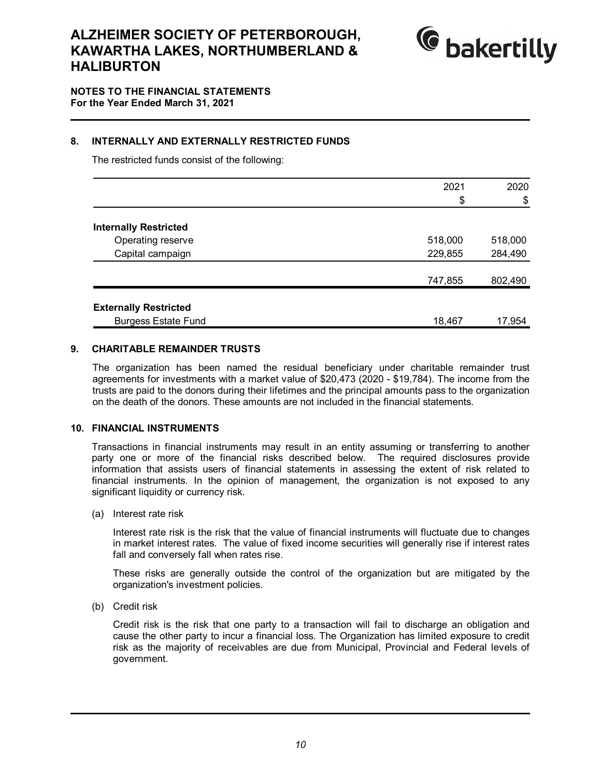

**NOTES TO THE FINANCIAL STATEMENTS For the Year Ended March 31, 2021**

### **8. INTERNALLY AND EXTERNALLY RESTRICTED FUNDS**

The restricted funds consist of the following:

|                              | 2021    | 2020    |
|------------------------------|---------|---------|
|                              | \$      | \$      |
| <b>Internally Restricted</b> |         |         |
| Operating reserve            | 518,000 | 518,000 |
| Capital campaign             | 229,855 | 284,490 |
|                              |         |         |
|                              | 747,855 | 802,490 |
|                              |         |         |
| <b>Externally Restricted</b> |         |         |
| <b>Burgess Estate Fund</b>   | 18,467  | 17,954  |

### **9. CHARITABLE REMAINDER TRUSTS**

The organization has been named the residual beneficiary under charitable remainder trust agreements for investments with a market value of \$20,473 (2020 - \$19,784). The income from the trusts are paid to the donors during their lifetimes and the principal amounts pass to the organization on the death of the donors. These amounts are not included in the financial statements.

#### **10. FINANCIAL INSTRUMENTS**

Transactions in financial instruments may result in an entity assuming or transferring to another party one or more of the financial risks described below. The required disclosures provide information that assists users of financial statements in assessing the extent of risk related to financial instruments. In the opinion of management, the organization is not exposed to any significant liquidity or currency risk.

(a) Interest rate risk

Interest rate risk is the risk that the value of financial instruments will fluctuate due to changes in market interest rates. The value of fixed income securities will generally rise if interest rates fall and conversely fall when rates rise.

These risks are generally outside the control of the organization but are mitigated by the organization's investment policies.

(b) Credit risk

Credit risk is the risk that one party to a transaction will fail to discharge an obligation and cause the other party to incur a financial loss. The Organization has limited exposure to credit risk as the majority of receivables are due from Municipal, Provincial and Federal levels of government.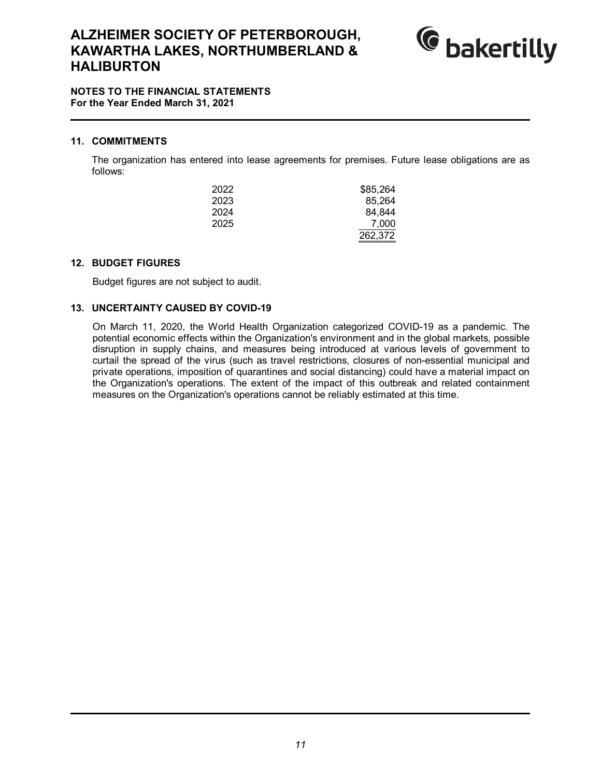

**NOTES TO THE FINANCIAL STATEMENTS For the Year Ended March 31, 2021**

#### **11. COMMITMENTS**

The organization has entered into lease agreements for premises. Future lease obligations are as follows:

| 2022 | \$85,264 |
|------|----------|
| 2023 | 85.264   |
| 2024 | 84.844   |
| 2025 | 7.000    |
|      | 262,372  |

### **12. BUDGET FIGURES**

Budget figures are not subject to audit.

### **13. UNCERTAINTY CAUSED BY COVID-19**

On March 11, 2020, the World Health Organization categorized COVID-19 as a pandemic. The potential economic effects within the Organization's environment and in the global markets, possible disruption in supply chains, and measures being introduced at various levels of government to curtail the spread of the virus (such as travel restrictions, closures of non-essential municipal and private operations, imposition of quarantines and social distancing) could have a material impact on the Organization's operations. The extent of the impact of this outbreak and related containment measures on the Organization's operations cannot be reliably estimated at this time.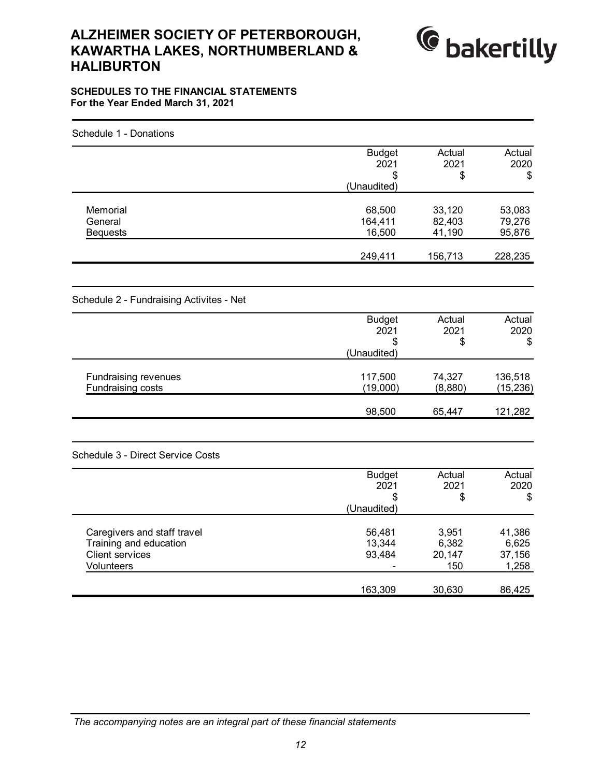

#### **SCHEDULES TO THE FINANCIAL STATEMENTS For the Year Ended March 31, 2021**

Schedule 1 - Donations

|                                          | <b>Budget</b>     | Actual     | Actual     |
|------------------------------------------|-------------------|------------|------------|
|                                          | 2021<br>\$        | 2021<br>\$ | 2020<br>\$ |
|                                          | (Unaudited)       |            |            |
| Memorial                                 | 68,500            | 33,120     | 53,083     |
| General                                  | 164,411           | 82,403     | 79,276     |
| <b>Bequests</b>                          | 16,500            | 41,190     | 95,876     |
|                                          | 249,411           | 156,713    | 228,235    |
| Schedule 2 - Fundraising Activites - Net |                   |            |            |
|                                          | <b>Budget</b>     | Actual     | Actual     |
|                                          | 2021              | 2021       | 2020       |
|                                          | \$                | \$         | \$         |
|                                          | (Unaudited)       |            |            |
| Fundraising revenues                     | 117,500           | 74,327     | 136,518    |
| Fundraising costs                        | (19,000)          | (8,880)    | (15, 236)  |
|                                          | 98,500            | 65,447     | 121,282    |
|                                          |                   |            |            |
| Schedule 3 - Direct Service Costs        |                   |            |            |
|                                          | <b>Budget</b>     | Actual     | Actual     |
|                                          | 2021              | 2021       | 2020       |
|                                          | \$<br>(Unaudited) | \$         | \$         |
|                                          |                   |            |            |
| Caregivers and staff travel              | 56,481            | 3,951      | 41,386     |
| Training and education                   | 13,344            | 6,382      | 6,625      |
| <b>Client services</b>                   | 93,484            | 20,147     | 37,156     |
| Volunteers                               |                   | 150        | 1,258      |
|                                          | 163,309           | 30,630     | 86,425     |